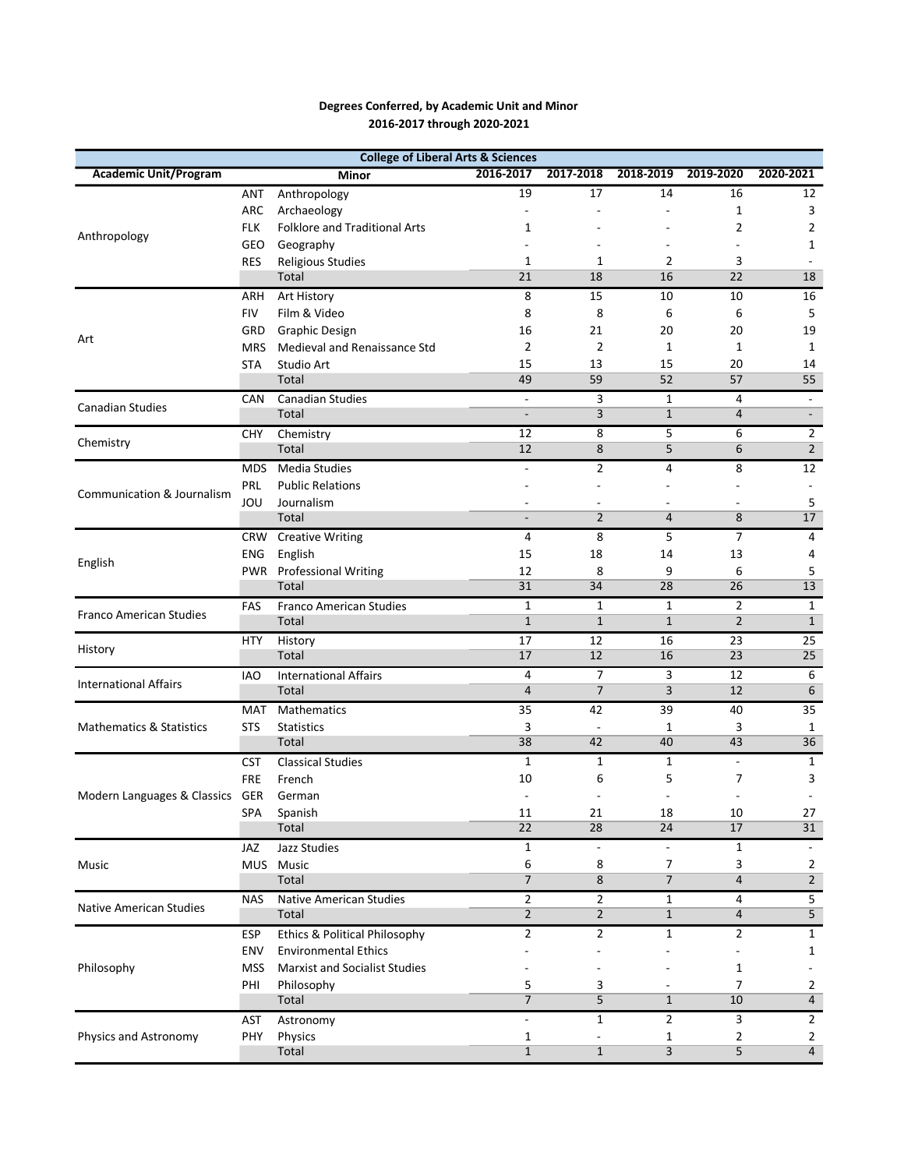## Degrees Conferred, by Academic Unit and Minor 2016-2017 through 2020-2021

| <b>College of Liberal Arts &amp; Sciences</b> |            |                                      |                          |                                          |                |                          |                                  |  |  |  |  |
|-----------------------------------------------|------------|--------------------------------------|--------------------------|------------------------------------------|----------------|--------------------------|----------------------------------|--|--|--|--|
| <b>Academic Unit/Program</b>                  |            | Minor                                | 2016-2017                | 2017-2018                                | 2018-2019      | 2019-2020                | 2020-2021                        |  |  |  |  |
| Anthropology                                  | <b>ANT</b> | Anthropology                         | 19                       | 17                                       | 14             | 16                       | 12                               |  |  |  |  |
|                                               | ARC        | Archaeology                          | $\overline{\phantom{a}}$ |                                          | $\overline{a}$ | 1                        | 3                                |  |  |  |  |
|                                               | <b>FLK</b> | <b>Folklore and Traditional Arts</b> | 1                        |                                          |                | 2                        | 2                                |  |  |  |  |
|                                               | <b>GEO</b> | Geography                            |                          |                                          |                |                          | 1                                |  |  |  |  |
|                                               | <b>RES</b> | Religious Studies                    | $\mathbf{1}$             | 1                                        | 2              | 3                        |                                  |  |  |  |  |
|                                               |            | Total                                | 21                       | 18                                       | 16             | 22                       | 18                               |  |  |  |  |
|                                               | ARH        | Art History                          | 8                        | 15                                       | 10             | 10                       | 16                               |  |  |  |  |
|                                               | <b>FIV</b> | Film & Video                         | 8                        | 8                                        | 6              | 6                        | 5                                |  |  |  |  |
|                                               | GRD        | <b>Graphic Design</b>                | 16                       | 21                                       | 20             | 20                       | 19                               |  |  |  |  |
| Art                                           | <b>MRS</b> | Medieval and Renaissance Std         | $\overline{2}$           | $\overline{2}$                           | 1              | $\mathbf{1}$             | 1                                |  |  |  |  |
|                                               | <b>STA</b> | Studio Art                           | 15                       | 13                                       | 15             | 20                       | 14                               |  |  |  |  |
|                                               |            | Total                                | 49                       | 59                                       | 52             | 57                       | 55                               |  |  |  |  |
|                                               | <b>CAN</b> | <b>Canadian Studies</b>              | $\overline{\phantom{a}}$ | 3                                        | 1              | 4                        | $\blacksquare$                   |  |  |  |  |
| <b>Canadian Studies</b>                       |            | Total                                | $\overline{\phantom{a}}$ | 3                                        | $\mathbf{1}$   | $\overline{4}$           | $\blacksquare$                   |  |  |  |  |
|                                               | <b>CHY</b> | Chemistry                            | 12                       | 8                                        | 5              | 6                        | $\overline{2}$                   |  |  |  |  |
| Chemistry                                     |            | Total                                | 12                       | 8                                        | 5              | 6                        | $\overline{2}$                   |  |  |  |  |
|                                               | <b>MDS</b> | <b>Media Studies</b>                 | $\overline{\phantom{a}}$ | $\overline{2}$                           | 4              | 8                        | 12                               |  |  |  |  |
|                                               | PRL        | <b>Public Relations</b>              |                          |                                          |                |                          |                                  |  |  |  |  |
| Communication & Journalism                    | JOU        | Journalism                           |                          |                                          |                |                          | 5                                |  |  |  |  |
|                                               |            | Total                                | $\frac{1}{2}$            | $\overline{2}$                           | 4              | 8                        | 17                               |  |  |  |  |
|                                               |            | <b>CRW</b> Creative Writing          | $\overline{4}$           | 8                                        | 5              | 7                        | 4                                |  |  |  |  |
|                                               | ENG        | English                              | 15                       | 18                                       | 14             | 13                       | 4                                |  |  |  |  |
| English                                       |            | PWR Professional Writing             | 12                       | 8                                        | 9              | 6                        | 5                                |  |  |  |  |
|                                               |            | Total                                | 31                       | 34                                       | 28             | 26                       | 13                               |  |  |  |  |
|                                               | FAS        | <b>Franco American Studies</b>       | $\mathbf{1}$             | $\mathbf{1}$                             | 1              | $\overline{2}$           | $\mathbf{1}$                     |  |  |  |  |
| <b>Franco American Studies</b>                |            | Total                                | $\mathbf{1}$             | $\mathbf{1}$                             | $\mathbf{1}$   | $\overline{2}$           | $\mathbf{1}$                     |  |  |  |  |
|                                               | <b>HTY</b> | History                              | 17                       | 12                                       | 16             | 23                       | 25                               |  |  |  |  |
| History                                       |            | Total                                | 17                       | 12                                       | 16             | 23                       | 25                               |  |  |  |  |
|                                               | <b>IAO</b> | <b>International Affairs</b>         | 4                        | 7                                        | 3              | 12                       | 6                                |  |  |  |  |
| <b>International Affairs</b>                  |            | Total                                | $\overline{4}$           | $\overline{7}$                           | 3              | 12                       | 6                                |  |  |  |  |
| <b>Mathematics &amp; Statistics</b>           | MAT        | Mathematics                          | 35                       | 42                                       | 39             | 40                       | 35                               |  |  |  |  |
|                                               | <b>STS</b> | <b>Statistics</b>                    | 3                        | $\overline{\phantom{a}}$                 | $\mathbf{1}$   | 3                        | 1                                |  |  |  |  |
|                                               |            | Total                                | 38                       | 42                                       | 40             | 43                       | 36                               |  |  |  |  |
|                                               | <b>CST</b> | <b>Classical Studies</b>             | $\mathbf{1}$             | 1                                        | 1              | $\overline{\phantom{a}}$ | $\mathbf{1}$                     |  |  |  |  |
|                                               | FRE        | French                               | 10                       | 6                                        | 5              | 7                        | 3                                |  |  |  |  |
| Modern Languages & Classics GER               |            | German                               |                          |                                          |                |                          |                                  |  |  |  |  |
|                                               | SPA        | Spanish                              | 11                       | 21                                       | 18             | 10                       | 27                               |  |  |  |  |
|                                               |            | Total                                | 22                       | 28                                       | 24             | 17                       | 31                               |  |  |  |  |
|                                               | JAZ        | Jazz Studies                         | $\mathbf{1}$             |                                          |                | $\mathbf{1}$             |                                  |  |  |  |  |
| Music                                         |            | MUS Music                            | 6                        | 8                                        | 7              | 3                        | 2                                |  |  |  |  |
|                                               |            | Total                                | $\overline{7}$           | 8                                        | $\overline{7}$ | 4                        | $\overline{2}$                   |  |  |  |  |
|                                               | <b>NAS</b> | <b>Native American Studies</b>       | $\overline{2}$           | 2                                        | 1              | 4                        | 5                                |  |  |  |  |
| <b>Native American Studies</b>                |            | Total                                | $\overline{2}$           | $\overline{2}$                           | $\mathbf{1}$   | $\overline{4}$           | 5                                |  |  |  |  |
| Philosophy<br>Physics and Astronomy           | <b>ESP</b> | Ethics & Political Philosophy        | $\mathbf{2}$             | $\overline{2}$                           | $\mathbf{1}$   | 2                        | $\mathbf{1}$                     |  |  |  |  |
|                                               | <b>ENV</b> | <b>Environmental Ethics</b>          |                          |                                          |                |                          | $\mathbf{1}$                     |  |  |  |  |
|                                               | <b>MSS</b> | <b>Marxist and Socialist Studies</b> |                          |                                          |                | 1                        |                                  |  |  |  |  |
|                                               | PHI        |                                      | 5                        | 3                                        |                | $\overline{7}$           | 2                                |  |  |  |  |
|                                               |            | Philosophy<br>Total                  | $\overline{7}$           | 5                                        | $\mathbf{1}$   | 10                       | $\overline{4}$                   |  |  |  |  |
|                                               |            |                                      |                          | $\mathbf{1}$                             | $\overline{2}$ | 3                        |                                  |  |  |  |  |
|                                               | AST<br>PHY | Astronomy                            | $\overline{\phantom{a}}$ |                                          |                |                          | $\overline{2}$                   |  |  |  |  |
|                                               |            | Physics<br>Total                     | 1<br>$\mathbf{1}$        | $\overline{\phantom{a}}$<br>$\mathbf{1}$ | 1<br>3         | 2<br>5                   | $\overline{2}$<br>$\overline{4}$ |  |  |  |  |
|                                               |            |                                      |                          |                                          |                |                          |                                  |  |  |  |  |